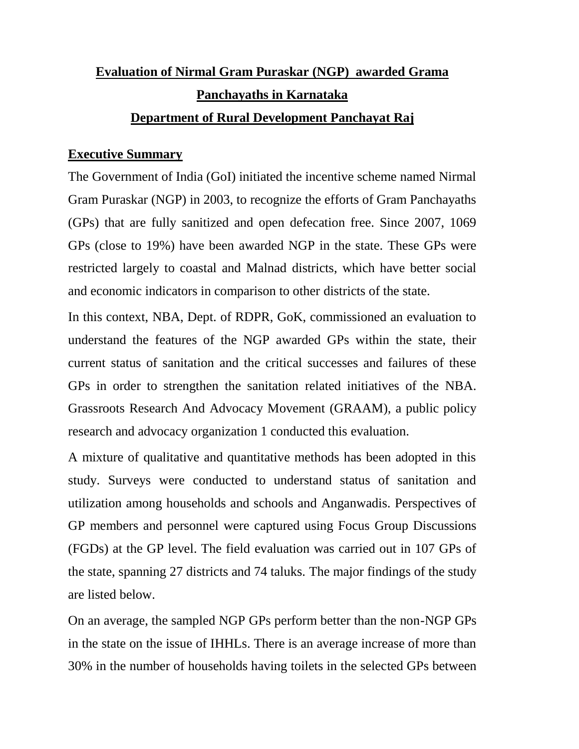# **Evaluation of Nirmal Gram Puraskar (NGP) awarded Grama Panchayaths in Karnataka Department of Rural Development Panchayat Raj**

# **Executive Summary**

The Government of India (GoI) initiated the incentive scheme named Nirmal Gram Puraskar (NGP) in 2003, to recognize the efforts of Gram Panchayaths (GPs) that are fully sanitized and open defecation free. Since 2007, 1069 GPs (close to 19%) have been awarded NGP in the state. These GPs were restricted largely to coastal and Malnad districts, which have better social and economic indicators in comparison to other districts of the state.

In this context, NBA, Dept. of RDPR, GoK, commissioned an evaluation to understand the features of the NGP awarded GPs within the state, their current status of sanitation and the critical successes and failures of these GPs in order to strengthen the sanitation related initiatives of the NBA. Grassroots Research And Advocacy Movement (GRAAM), a public policy research and advocacy organization 1 conducted this evaluation.

A mixture of qualitative and quantitative methods has been adopted in this study. Surveys were conducted to understand status of sanitation and utilization among households and schools and Anganwadis. Perspectives of GP members and personnel were captured using Focus Group Discussions (FGDs) at the GP level. The field evaluation was carried out in 107 GPs of the state, spanning 27 districts and 74 taluks. The major findings of the study are listed below.

On an average, the sampled NGP GPs perform better than the non-NGP GPs in the state on the issue of IHHLs. There is an average increase of more than 30% in the number of households having toilets in the selected GPs between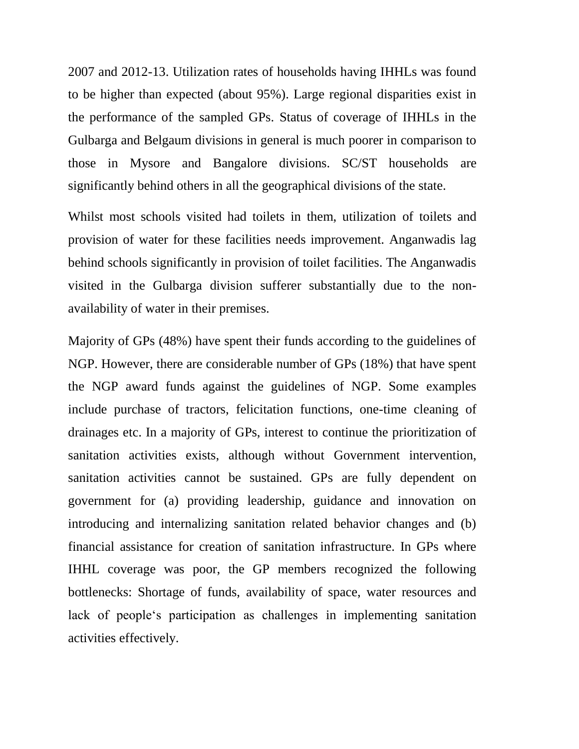2007 and 2012-13. Utilization rates of households having IHHLs was found to be higher than expected (about 95%). Large regional disparities exist in the performance of the sampled GPs. Status of coverage of IHHLs in the Gulbarga and Belgaum divisions in general is much poorer in comparison to those in Mysore and Bangalore divisions. SC/ST households are significantly behind others in all the geographical divisions of the state.

Whilst most schools visited had toilets in them, utilization of toilets and provision of water for these facilities needs improvement. Anganwadis lag behind schools significantly in provision of toilet facilities. The Anganwadis visited in the Gulbarga division sufferer substantially due to the nonavailability of water in their premises.

Majority of GPs (48%) have spent their funds according to the guidelines of NGP. However, there are considerable number of GPs (18%) that have spent the NGP award funds against the guidelines of NGP. Some examples include purchase of tractors, felicitation functions, one-time cleaning of drainages etc. In a majority of GPs, interest to continue the prioritization of sanitation activities exists, although without Government intervention, sanitation activities cannot be sustained. GPs are fully dependent on government for (a) providing leadership, guidance and innovation on introducing and internalizing sanitation related behavior changes and (b) financial assistance for creation of sanitation infrastructure. In GPs where IHHL coverage was poor, the GP members recognized the following bottlenecks: Shortage of funds, availability of space, water resources and lack of people"s participation as challenges in implementing sanitation activities effectively.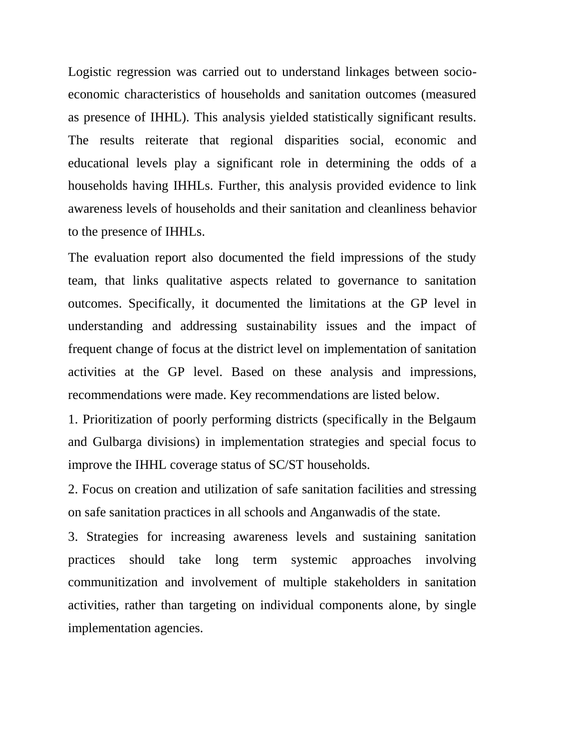Logistic regression was carried out to understand linkages between socioeconomic characteristics of households and sanitation outcomes (measured as presence of IHHL). This analysis yielded statistically significant results. The results reiterate that regional disparities social, economic and educational levels play a significant role in determining the odds of a households having IHHLs. Further, this analysis provided evidence to link awareness levels of households and their sanitation and cleanliness behavior to the presence of IHHLs.

The evaluation report also documented the field impressions of the study team, that links qualitative aspects related to governance to sanitation outcomes. Specifically, it documented the limitations at the GP level in understanding and addressing sustainability issues and the impact of frequent change of focus at the district level on implementation of sanitation activities at the GP level. Based on these analysis and impressions, recommendations were made. Key recommendations are listed below.

1. Prioritization of poorly performing districts (specifically in the Belgaum and Gulbarga divisions) in implementation strategies and special focus to improve the IHHL coverage status of SC/ST households.

2. Focus on creation and utilization of safe sanitation facilities and stressing on safe sanitation practices in all schools and Anganwadis of the state.

3. Strategies for increasing awareness levels and sustaining sanitation practices should take long term systemic approaches involving communitization and involvement of multiple stakeholders in sanitation activities, rather than targeting on individual components alone, by single implementation agencies.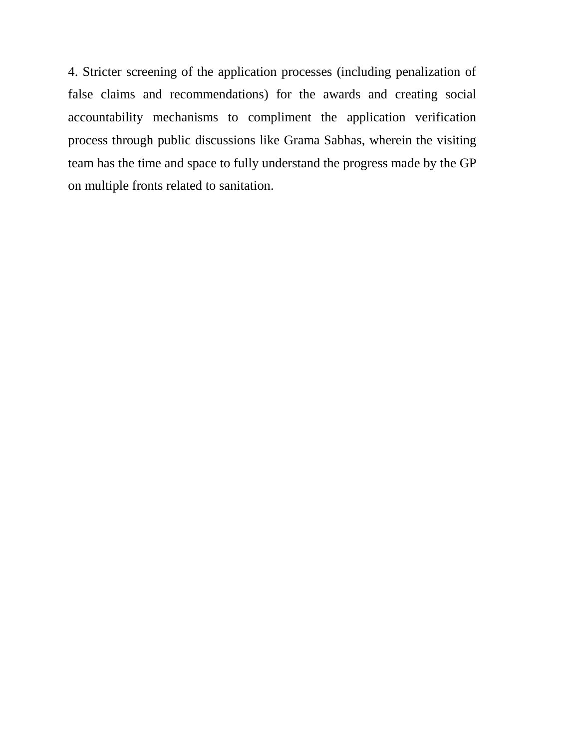4. Stricter screening of the application processes (including penalization of false claims and recommendations) for the awards and creating social accountability mechanisms to compliment the application verification process through public discussions like Grama Sabhas, wherein the visiting team has the time and space to fully understand the progress made by the GP on multiple fronts related to sanitation.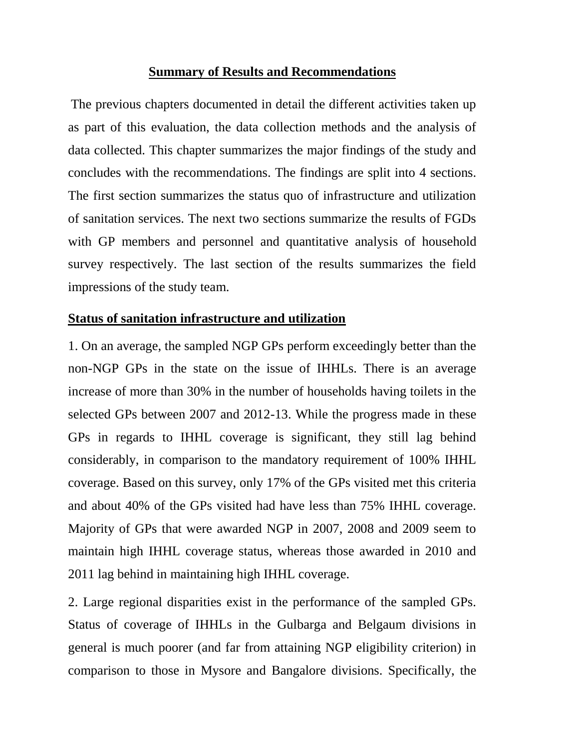#### **Summary of Results and Recommendations**

The previous chapters documented in detail the different activities taken up as part of this evaluation, the data collection methods and the analysis of data collected. This chapter summarizes the major findings of the study and concludes with the recommendations. The findings are split into 4 sections. The first section summarizes the status quo of infrastructure and utilization of sanitation services. The next two sections summarize the results of FGDs with GP members and personnel and quantitative analysis of household survey respectively. The last section of the results summarizes the field impressions of the study team.

# **Status of sanitation infrastructure and utilization**

1. On an average, the sampled NGP GPs perform exceedingly better than the non-NGP GPs in the state on the issue of IHHLs. There is an average increase of more than 30% in the number of households having toilets in the selected GPs between 2007 and 2012-13. While the progress made in these GPs in regards to IHHL coverage is significant, they still lag behind considerably, in comparison to the mandatory requirement of 100% IHHL coverage. Based on this survey, only 17% of the GPs visited met this criteria and about 40% of the GPs visited had have less than 75% IHHL coverage. Majority of GPs that were awarded NGP in 2007, 2008 and 2009 seem to maintain high IHHL coverage status, whereas those awarded in 2010 and 2011 lag behind in maintaining high IHHL coverage.

2. Large regional disparities exist in the performance of the sampled GPs. Status of coverage of IHHLs in the Gulbarga and Belgaum divisions in general is much poorer (and far from attaining NGP eligibility criterion) in comparison to those in Mysore and Bangalore divisions. Specifically, the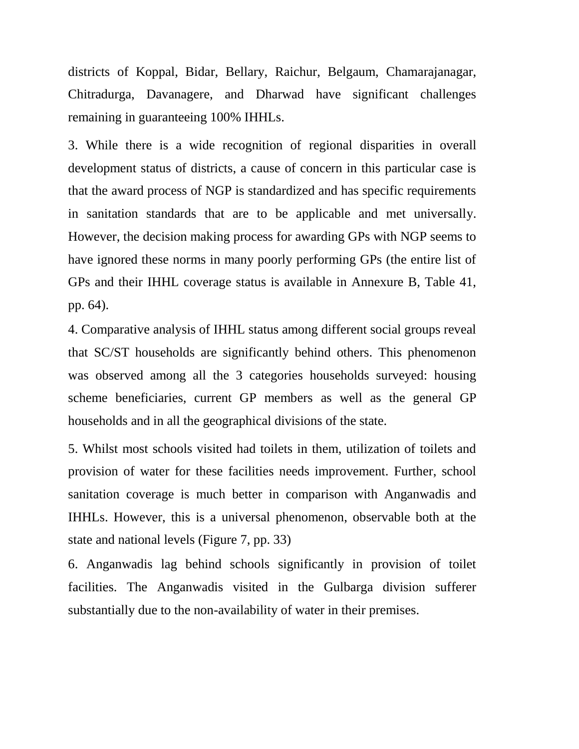districts of Koppal, Bidar, Bellary, Raichur, Belgaum, Chamarajanagar, Chitradurga, Davanagere, and Dharwad have significant challenges remaining in guaranteeing 100% IHHLs.

3. While there is a wide recognition of regional disparities in overall development status of districts, a cause of concern in this particular case is that the award process of NGP is standardized and has specific requirements in sanitation standards that are to be applicable and met universally. However, the decision making process for awarding GPs with NGP seems to have ignored these norms in many poorly performing GPs (the entire list of GPs and their IHHL coverage status is available in Annexure B, Table 41, pp. 64).

4. Comparative analysis of IHHL status among different social groups reveal that SC/ST households are significantly behind others. This phenomenon was observed among all the 3 categories households surveyed: housing scheme beneficiaries, current GP members as well as the general GP households and in all the geographical divisions of the state.

5. Whilst most schools visited had toilets in them, utilization of toilets and provision of water for these facilities needs improvement. Further, school sanitation coverage is much better in comparison with Anganwadis and IHHLs. However, this is a universal phenomenon, observable both at the state and national levels (Figure 7, pp. 33)

6. Anganwadis lag behind schools significantly in provision of toilet facilities. The Anganwadis visited in the Gulbarga division sufferer substantially due to the non-availability of water in their premises.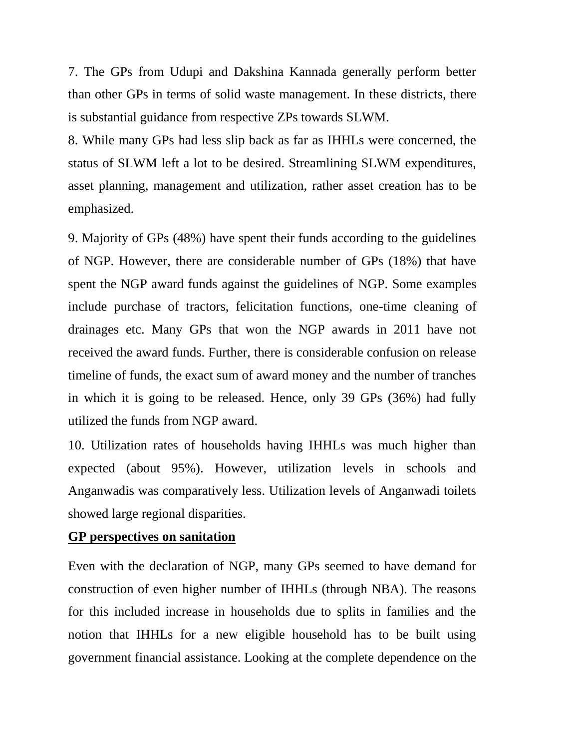7. The GPs from Udupi and Dakshina Kannada generally perform better than other GPs in terms of solid waste management. In these districts, there is substantial guidance from respective ZPs towards SLWM.

8. While many GPs had less slip back as far as IHHLs were concerned, the status of SLWM left a lot to be desired. Streamlining SLWM expenditures, asset planning, management and utilization, rather asset creation has to be emphasized.

9. Majority of GPs (48%) have spent their funds according to the guidelines of NGP. However, there are considerable number of GPs (18%) that have spent the NGP award funds against the guidelines of NGP. Some examples include purchase of tractors, felicitation functions, one-time cleaning of drainages etc. Many GPs that won the NGP awards in 2011 have not received the award funds. Further, there is considerable confusion on release timeline of funds, the exact sum of award money and the number of tranches in which it is going to be released. Hence, only 39 GPs (36%) had fully utilized the funds from NGP award.

10. Utilization rates of households having IHHLs was much higher than expected (about 95%). However, utilization levels in schools and Anganwadis was comparatively less. Utilization levels of Anganwadi toilets showed large regional disparities.

#### **GP perspectives on sanitation**

Even with the declaration of NGP, many GPs seemed to have demand for construction of even higher number of IHHLs (through NBA). The reasons for this included increase in households due to splits in families and the notion that IHHLs for a new eligible household has to be built using government financial assistance. Looking at the complete dependence on the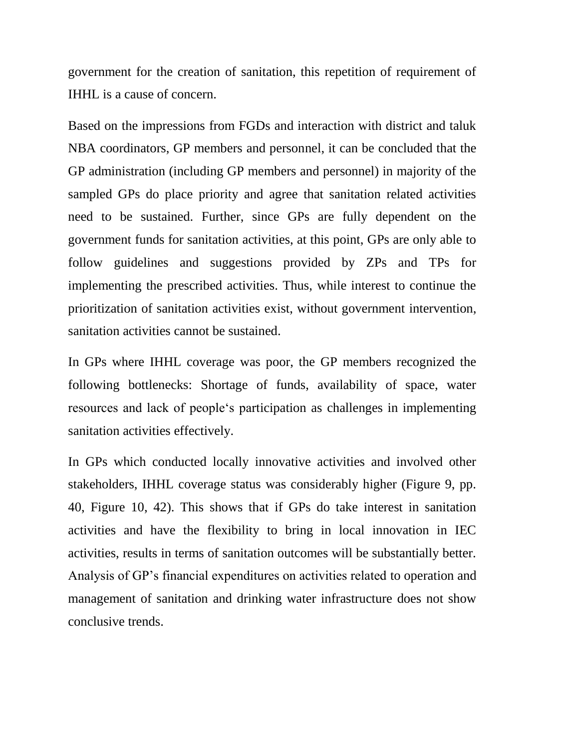government for the creation of sanitation, this repetition of requirement of IHHL is a cause of concern.

Based on the impressions from FGDs and interaction with district and taluk NBA coordinators, GP members and personnel, it can be concluded that the GP administration (including GP members and personnel) in majority of the sampled GPs do place priority and agree that sanitation related activities need to be sustained. Further, since GPs are fully dependent on the government funds for sanitation activities, at this point, GPs are only able to follow guidelines and suggestions provided by ZPs and TPs for implementing the prescribed activities. Thus, while interest to continue the prioritization of sanitation activities exist, without government intervention, sanitation activities cannot be sustained.

In GPs where IHHL coverage was poor, the GP members recognized the following bottlenecks: Shortage of funds, availability of space, water resources and lack of people"s participation as challenges in implementing sanitation activities effectively.

In GPs which conducted locally innovative activities and involved other stakeholders, IHHL coverage status was considerably higher (Figure 9, pp. 40, Figure 10, 42). This shows that if GPs do take interest in sanitation activities and have the flexibility to bring in local innovation in IEC activities, results in terms of sanitation outcomes will be substantially better. Analysis of GP"s financial expenditures on activities related to operation and management of sanitation and drinking water infrastructure does not show conclusive trends.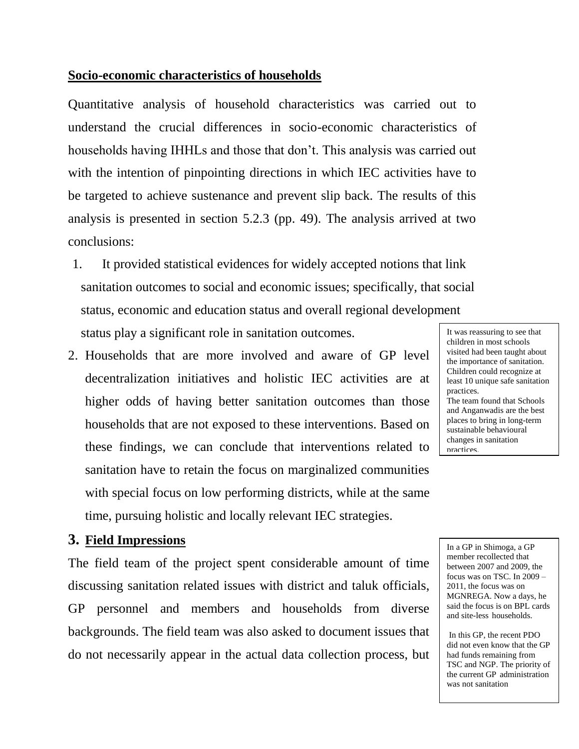## **Socio-economic characteristics of households**

Quantitative analysis of household characteristics was carried out to understand the crucial differences in socio-economic characteristics of households having IHHLs and those that don"t. This analysis was carried out with the intention of pinpointing directions in which IEC activities have to be targeted to achieve sustenance and prevent slip back. The results of this analysis is presented in section 5.2.3 (pp. 49). The analysis arrived at two conclusions:

- 1. It provided statistical evidences for widely accepted notions that link sanitation outcomes to social and economic issues; specifically, that social status, economic and education status and overall regional development status play a significant role in sanitation outcomes.
- 2. Households that are more involved and aware of GP level decentralization initiatives and holistic IEC activities are at higher odds of having better sanitation outcomes than those households that are not exposed to these interventions. Based on these findings, we can conclude that interventions related to sanitation have to retain the focus on marginalized communities with special focus on low performing districts, while at the same time, pursuing holistic and locally relevant IEC strategies.

## **3. Field Impressions**

The field team of the project spent considerable amount of time discussing sanitation related issues with district and taluk officials, GP personnel and members and households from diverse backgrounds. The field team was also asked to document issues that do not necessarily appear in the actual data collection process, but It was reassuring to see that children in most schools visited had been taught about the importance of sanitation. Children could recognize at least 10 unique safe sanitation practices. The team found that Schools and Anganwadis are the best places to bring in long-term sustainable behavioural changes in sanitation practices.

In a GP in Shimoga, a GP member recollected that between 2007 and 2009, the focus was on TSC. In 2009 – 2011, the focus was on MGNREGA. Now a days, he said the focus is on BPL cards and site-less households.

In this GP, the recent PDO did not even know that the GP had funds remaining from TSC and NGP. The priority of the current GP administration was not sanitation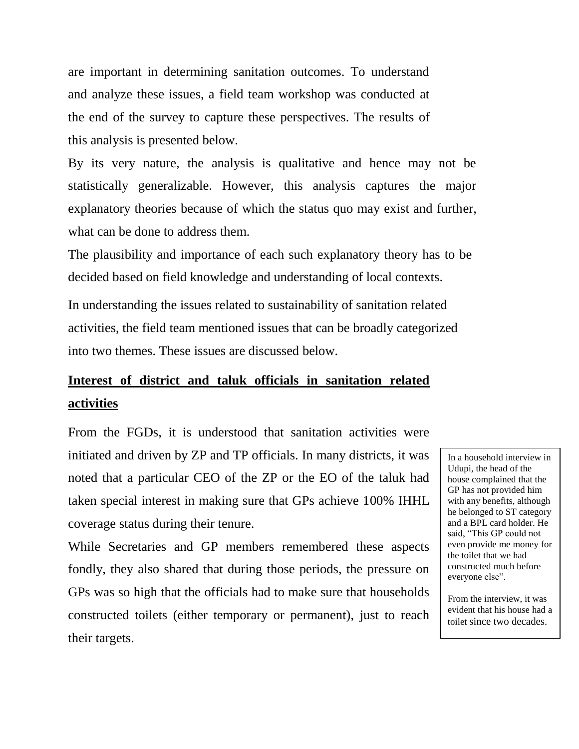are important in determining sanitation outcomes. To understand and analyze these issues, a field team workshop was conducted at the end of the survey to capture these perspectives. The results of this analysis is presented below.

By its very nature, the analysis is qualitative and hence may not be statistically generalizable. However, this analysis captures the major explanatory theories because of which the status quo may exist and further, what can be done to address them.

The plausibility and importance of each such explanatory theory has to be decided based on field knowledge and understanding of local contexts.

In understanding the issues related to sustainability of sanitation related activities, the field team mentioned issues that can be broadly categorized into two themes. These issues are discussed below.

# **Interest of district and taluk officials in sanitation related activities**

From the FGDs, it is understood that sanitation activities were initiated and driven by ZP and TP officials. In many districts, it was noted that a particular CEO of the ZP or the EO of the taluk had taken special interest in making sure that GPs achieve 100% IHHL coverage status during their tenure.

While Secretaries and GP members remembered these aspects fondly, they also shared that during those periods, the pressure on GPs was so high that the officials had to make sure that households constructed toilets (either temporary or permanent), just to reach their targets.

In a household interview in Udupi, the head of the house complained that the GP has not provided him with any benefits, although he belonged to ST category and a BPL card holder. He said, "This GP could not even provide me money for the toilet that we had constructed much before everyone else".

From the interview, it was evident that his house had a toilet since two decades.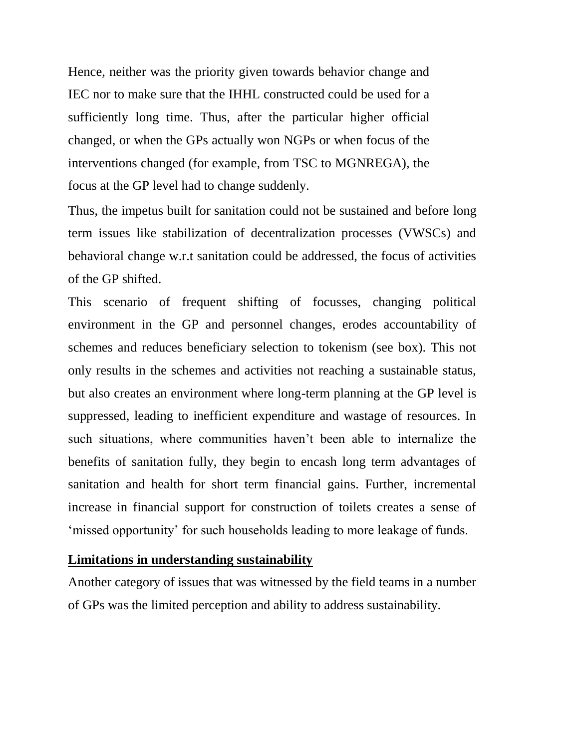Hence, neither was the priority given towards behavior change and IEC nor to make sure that the IHHL constructed could be used for a sufficiently long time. Thus, after the particular higher official changed, or when the GPs actually won NGPs or when focus of the interventions changed (for example, from TSC to MGNREGA), the focus at the GP level had to change suddenly.

Thus, the impetus built for sanitation could not be sustained and before long term issues like stabilization of decentralization processes (VWSCs) and behavioral change w.r.t sanitation could be addressed, the focus of activities of the GP shifted.

This scenario of frequent shifting of focusses, changing political environment in the GP and personnel changes, erodes accountability of schemes and reduces beneficiary selection to tokenism (see box). This not only results in the schemes and activities not reaching a sustainable status, but also creates an environment where long-term planning at the GP level is suppressed, leading to inefficient expenditure and wastage of resources. In such situations, where communities haven't been able to internalize the benefits of sanitation fully, they begin to encash long term advantages of sanitation and health for short term financial gains. Further, incremental increase in financial support for construction of toilets creates a sense of "missed opportunity" for such households leading to more leakage of funds.

#### **Limitations in understanding sustainability**

Another category of issues that was witnessed by the field teams in a number of GPs was the limited perception and ability to address sustainability.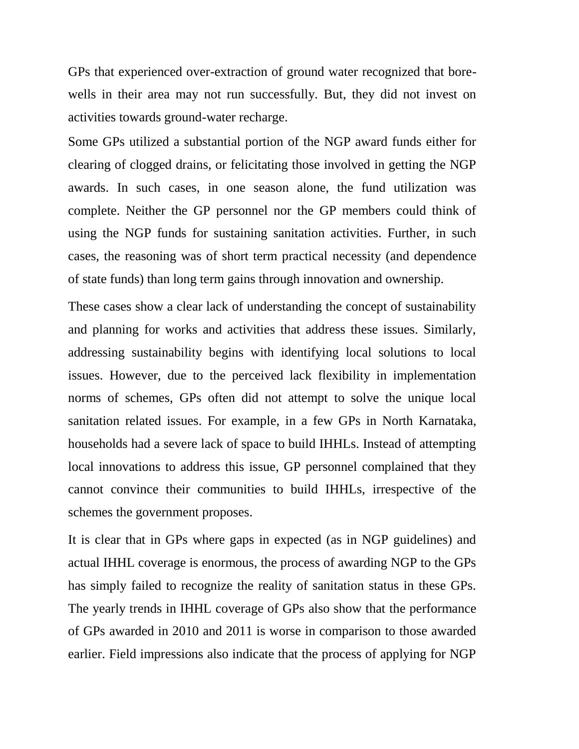GPs that experienced over-extraction of ground water recognized that borewells in their area may not run successfully. But, they did not invest on activities towards ground-water recharge.

Some GPs utilized a substantial portion of the NGP award funds either for clearing of clogged drains, or felicitating those involved in getting the NGP awards. In such cases, in one season alone, the fund utilization was complete. Neither the GP personnel nor the GP members could think of using the NGP funds for sustaining sanitation activities. Further, in such cases, the reasoning was of short term practical necessity (and dependence of state funds) than long term gains through innovation and ownership.

These cases show a clear lack of understanding the concept of sustainability and planning for works and activities that address these issues. Similarly, addressing sustainability begins with identifying local solutions to local issues. However, due to the perceived lack flexibility in implementation norms of schemes, GPs often did not attempt to solve the unique local sanitation related issues. For example, in a few GPs in North Karnataka, households had a severe lack of space to build IHHLs. Instead of attempting local innovations to address this issue, GP personnel complained that they cannot convince their communities to build IHHLs, irrespective of the schemes the government proposes.

It is clear that in GPs where gaps in expected (as in NGP guidelines) and actual IHHL coverage is enormous, the process of awarding NGP to the GPs has simply failed to recognize the reality of sanitation status in these GPs. The yearly trends in IHHL coverage of GPs also show that the performance of GPs awarded in 2010 and 2011 is worse in comparison to those awarded earlier. Field impressions also indicate that the process of applying for NGP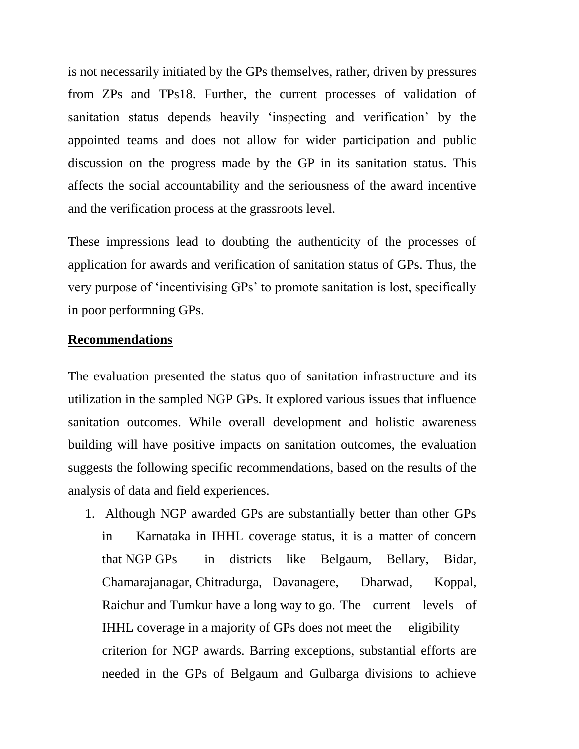is not necessarily initiated by the GPs themselves, rather, driven by pressures from ZPs and TPs18. Further, the current processes of validation of sanitation status depends heavily "inspecting and verification" by the appointed teams and does not allow for wider participation and public discussion on the progress made by the GP in its sanitation status. This affects the social accountability and the seriousness of the award incentive and the verification process at the grassroots level.

These impressions lead to doubting the authenticity of the processes of application for awards and verification of sanitation status of GPs. Thus, the very purpose of "incentivising GPs" to promote sanitation is lost, specifically in poor performning GPs.

#### **Recommendations**

The evaluation presented the status quo of sanitation infrastructure and its utilization in the sampled NGP GPs. It explored various issues that influence sanitation outcomes. While overall development and holistic awareness building will have positive impacts on sanitation outcomes, the evaluation suggests the following specific recommendations, based on the results of the analysis of data and field experiences.

1. Although NGP awarded GPs are substantially better than other GPs in Karnataka in IHHL coverage status, it is a matter of concern that NGP GPs in districts like Belgaum, Bellary, Bidar, Chamarajanagar, Chitradurga, Davanagere, Dharwad, Koppal, Raichur and Tumkur have a long way to go. The current levels of IHHL coverage in a majority of GPs does not meet the eligibility criterion for NGP awards. Barring exceptions, substantial efforts are needed in the GPs of Belgaum and Gulbarga divisions to achieve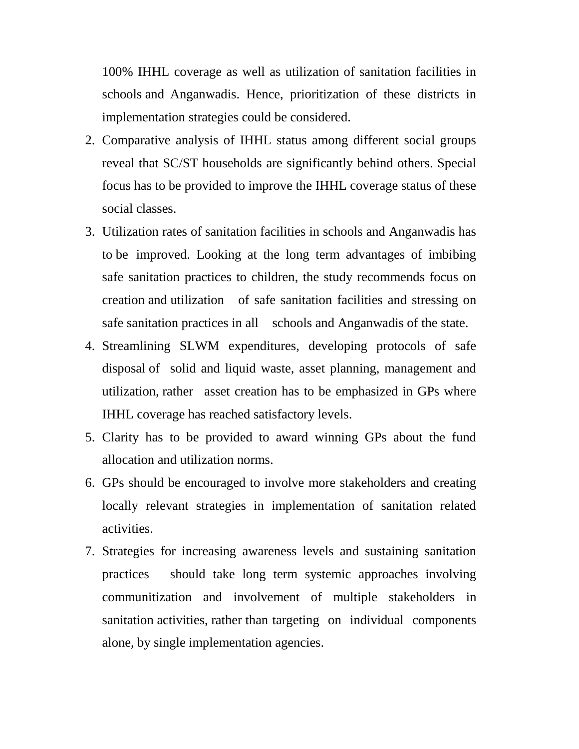100% IHHL coverage as well as utilization of sanitation facilities in schools and Anganwadis. Hence, prioritization of these districts in implementation strategies could be considered.

- 2. Comparative analysis of IHHL status among different social groups reveal that SC/ST households are significantly behind others. Special focus has to be provided to improve the IHHL coverage status of these social classes.
- 3. Utilization rates of sanitation facilities in schools and Anganwadis has to be improved. Looking at the long term advantages of imbibing safe sanitation practices to children, the study recommends focus on creation and utilization of safe sanitation facilities and stressing on safe sanitation practices in all schools and Anganwadis of the state.
- 4. Streamlining SLWM expenditures, developing protocols of safe disposal of solid and liquid waste, asset planning, management and utilization, rather asset creation has to be emphasized in GPs where IHHL coverage has reached satisfactory levels.
- 5. Clarity has to be provided to award winning GPs about the fund allocation and utilization norms.
- 6. GPs should be encouraged to involve more stakeholders and creating locally relevant strategies in implementation of sanitation related activities.
- 7. Strategies for increasing awareness levels and sustaining sanitation practices should take long term systemic approaches involving communitization and involvement of multiple stakeholders in sanitation activities, rather than targeting on individual components alone, by single implementation agencies.